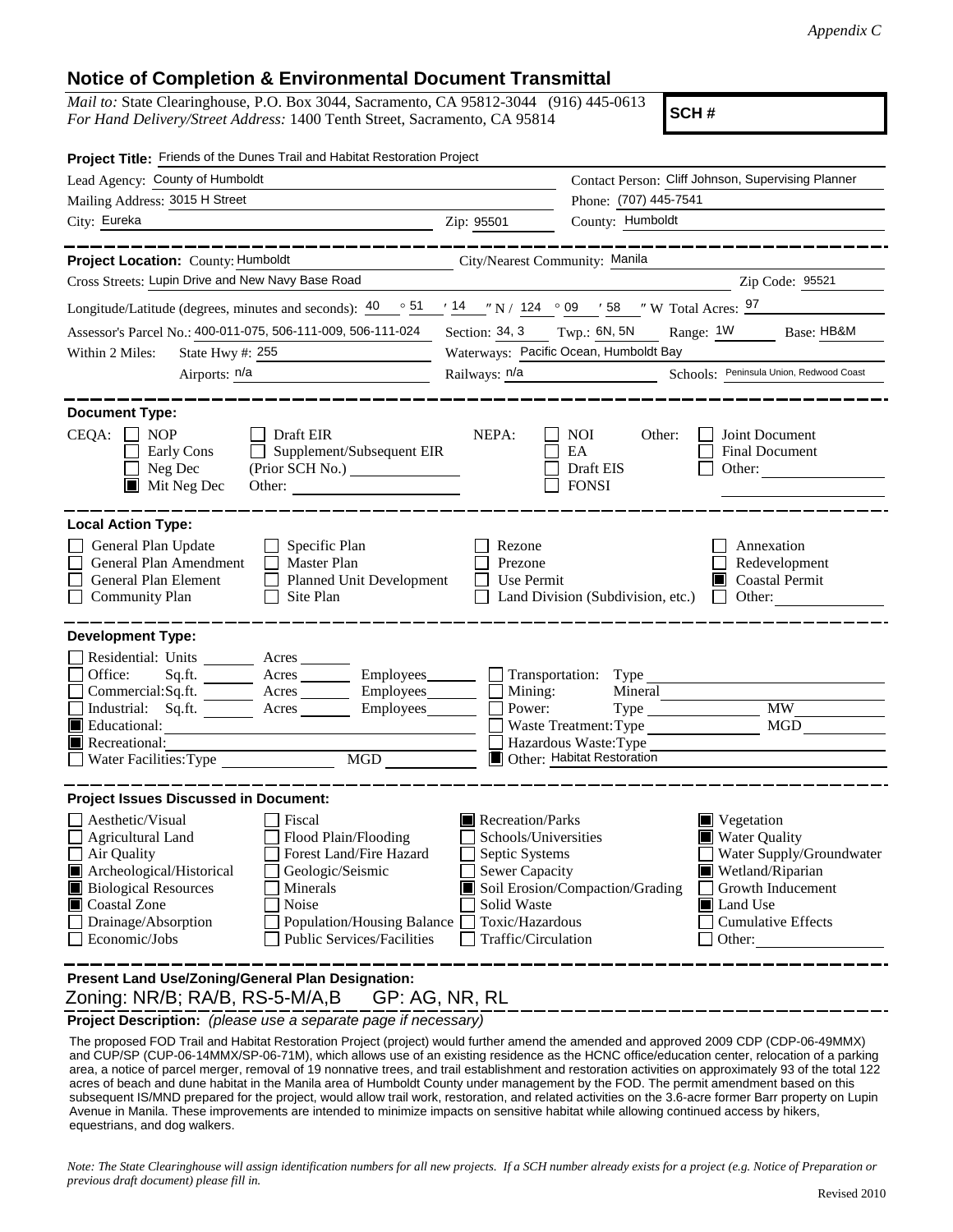## **Notice of Completion & Environmental Document Transmittal**

*Mail to:* State Clearinghouse, P.O. Box 3044, Sacramento, CA 95812-3044 (916) 445-0613 *For Hand Delivery/Street Address:* 1400 Tenth Street, Sacramento, CA 95814

**SCH #**

| Project Title: Friends of the Dunes Trail and Habitat Restoration Project                                                                                                                                                                                                                                                                                        |                                                                                                                                                                                                                                                                                                                                                              |                                                                                                              |  |
|------------------------------------------------------------------------------------------------------------------------------------------------------------------------------------------------------------------------------------------------------------------------------------------------------------------------------------------------------------------|--------------------------------------------------------------------------------------------------------------------------------------------------------------------------------------------------------------------------------------------------------------------------------------------------------------------------------------------------------------|--------------------------------------------------------------------------------------------------------------|--|
| Lead Agency: County of Humboldt                                                                                                                                                                                                                                                                                                                                  |                                                                                                                                                                                                                                                                                                                                                              | Contact Person: Cliff Johnson, Supervising Planner                                                           |  |
| Mailing Address: 3015 H Street                                                                                                                                                                                                                                                                                                                                   | Phone: (707) 445-7541                                                                                                                                                                                                                                                                                                                                        |                                                                                                              |  |
| City: Eureka<br><u> 1989 - Johann Barbara, martin a</u>                                                                                                                                                                                                                                                                                                          | County: Humboldt<br>Zip: 95501                                                                                                                                                                                                                                                                                                                               |                                                                                                              |  |
|                                                                                                                                                                                                                                                                                                                                                                  |                                                                                                                                                                                                                                                                                                                                                              |                                                                                                              |  |
| Project Location: County: Humboldt                                                                                                                                                                                                                                                                                                                               | City/Nearest Community: Manila                                                                                                                                                                                                                                                                                                                               |                                                                                                              |  |
| Cross Streets: Lupin Drive and New Navy Base Road                                                                                                                                                                                                                                                                                                                |                                                                                                                                                                                                                                                                                                                                                              | Zip Code: 95521                                                                                              |  |
| Longitude/Latitude (degrees, minutes and seconds): $\frac{40}{9}$ $\frac{51}{14}$ $\frac{14}{14}$ $\frac{124}{124}$ $\frac{09}{9}$ $\frac{158}{158}$ $\frac{100}{124}$ N Total Acres: $\frac{97}{124}$                                                                                                                                                           |                                                                                                                                                                                                                                                                                                                                                              |                                                                                                              |  |
| Assessor's Parcel No.: 400-011-075, 506-111-009, 506-111-024                                                                                                                                                                                                                                                                                                     | Section: 34, 3 Twp.: 6N, 5N<br>Range: 1W                                                                                                                                                                                                                                                                                                                     | Base: HB&M                                                                                                   |  |
| Within 2 Miles:<br>State Hwy #: 255                                                                                                                                                                                                                                                                                                                              | Waterways: Pacific Ocean, Humboldt Bay                                                                                                                                                                                                                                                                                                                       |                                                                                                              |  |
| Airports: n/a                                                                                                                                                                                                                                                                                                                                                    | Railways: $n/a$                                                                                                                                                                                                                                                                                                                                              | Schools: Peninsula Union, Redwood Coast                                                                      |  |
| <b>Document Type:</b><br>$CEQA: \Box NP$<br>$\Box$ Draft EIR<br>Supplement/Subsequent EIR<br>Early Cons<br>Neg Dec<br>$\blacksquare$ Mit Neg Dec<br>Other:                                                                                                                                                                                                       | NEPA:<br><b>NOI</b><br>Other:<br>EA<br>Draft EIS<br><b>FONSI</b>                                                                                                                                                                                                                                                                                             | Joint Document<br><b>Final Document</b><br>Other: $\frac{1}{\sqrt{1-\frac{1}{2}}\left(1-\frac{1}{2}\right)}$ |  |
| <b>Local Action Type:</b><br>General Plan Update<br>$\Box$ Specific Plan<br>General Plan Amendment<br>$\Box$ Master Plan<br>General Plan Element<br>Planned Unit Development<br><b>Community Plan</b><br>Site Plan<br>$\mathbf{1}$                                                                                                                               | Rezone<br>Prezone<br>Use Permit<br>Land Division (Subdivision, etc.)<br>$\Box$                                                                                                                                                                                                                                                                               | Annexation<br>Redevelopment<br>Coastal Permit<br>Other:                                                      |  |
| <b>Development Type:</b>                                                                                                                                                                                                                                                                                                                                         |                                                                                                                                                                                                                                                                                                                                                              |                                                                                                              |  |
| Residential: Units ________ Acres _______<br>Office:<br>Commercial:Sq.ft. ________ Acres _________ Employees ________ __ Mining:<br>Acres Employees Power:<br>Industrial: Sq.ft.<br>$\blacksquare$ Educational:<br>$\blacksquare$ Recreational:<br>Water Facilities: Type                                                                                        | Sq.ft. _________ Acres __________ Employees ________ __ Transportation: Type _______<br>Mineral<br>Type<br>Waste Treatment: Type<br>Hazardous Waste: Type<br>Other: Habitat Restoration                                                                                                                                                                      | <b>MW</b><br><b>MGD</b>                                                                                      |  |
| <b>Project Issues Discussed in Document:</b>                                                                                                                                                                                                                                                                                                                     |                                                                                                                                                                                                                                                                                                                                                              |                                                                                                              |  |
| Aesthetic/Visual<br>  Fiscal<br>Flood Plain/Flooding<br><b>Agricultural Land</b><br>Forest Land/Fire Hazard<br>$\Box$ Air Quality<br>Archeological/Historical<br>Geologic/Seismic<br><b>Biological Resources</b><br>Minerals<br>Coastal Zone<br>Noise<br>Drainage/Absorption<br>Population/Housing Balance<br>Economic/Jobs<br><b>Public Services/Facilities</b> | Recreation/Parks<br>$\blacksquare$ Vegetation<br>Schools/Universities<br><b>Water Quality</b><br>Septic Systems<br>Water Supply/Groundwater<br><b>Sewer Capacity</b><br>Wetland/Riparian<br>Soil Erosion/Compaction/Grading<br>Growth Inducement<br>Solid Waste<br>Land Use<br>Toxic/Hazardous<br><b>Cumulative Effects</b><br>Traffic/Circulation<br>Other: |                                                                                                              |  |
| Present Land Use/Zoning/General Plan Designation:<br>Zoning: NR/B; RA/B, RS-5-M/A,B                                                                                                                                                                                                                                                                              | GP: AG, NR, RL                                                                                                                                                                                                                                                                                                                                               |                                                                                                              |  |

**Project Description:** *(please use a separate page if necessary)*

 The proposed FOD Trail and Habitat Restoration Project (project) would further amend the amended and approved 2009 CDP (CDP-06-49MMX) and CUP/SP (CUP-06-14MMX/SP-06-71M), which allows use of an existing residence as the HCNC office/education center, relocation of a parking area, a notice of parcel merger, removal of 19 nonnative trees, and trail establishment and restoration activities on approximately 93 of the total 122 acres of beach and dune habitat in the Manila area of Humboldt County under management by the FOD. The permit amendment based on this subsequent IS/MND prepared for the project, would allow trail work, restoration, and related activities on the 3.6-acre former Barr property on Lupin Avenue in Manila. These improvements are intended to minimize impacts on sensitive habitat while allowing continued access by hikers, equestrians, and dog walkers.

*Note: The State Clearinghouse will assign identification numbers for all new projects. If a SCH number already exists for a project (e.g. Notice of Preparation or previous draft document) please fill in.*